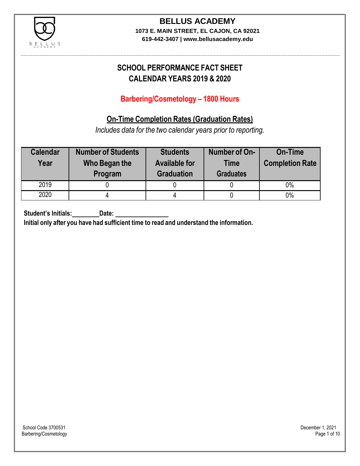

**619-442-3407 | www.bellusacademy.edu**

# **SCHOOL PERFORMANCE FACT SHEET CALENDAR YEARS 2019 & 2020**

## **Barbering/Cosmetology – 1800 Hours**

### **On-Time Completion Rates (Graduation Rates)**

*Includes data for the two calendar years prior to reporting.*

| <b>Calendar</b><br>Year | <b>Number of Students</b><br>Who Began the<br>Program | <b>Students</b><br><b>Available for</b><br><b>Graduation</b> | Number of On-<br><b>Time</b><br><b>Graduates</b> | <b>On-Time</b><br><b>Completion Rate</b> |
|-------------------------|-------------------------------------------------------|--------------------------------------------------------------|--------------------------------------------------|------------------------------------------|
| 2019                    |                                                       |                                                              |                                                  | 0%                                       |
| 2020                    |                                                       |                                                              |                                                  | $0\%$                                    |

**Student's Initials: Date:**

**Initial only after you have had sufficient time to read and understand the information.**

School Code 3700531 December 1, 2021<br>Barbering/Cosmetology Page 1 of 10 Barbering/Cosmetology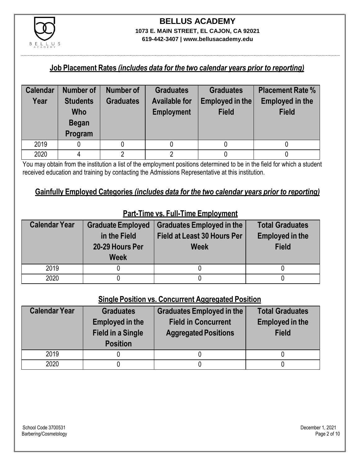

**619-442-3407 | www.bellusacademy.edu**

### **Job Placement Rates** *(includes data for the two calendar years prior to reporting)*

| <b>Calendar</b> | Number of                                                | Number of        | <b>Graduates</b>                          | <b>Graduates</b>                | <b>Placement Rate %</b>                |
|-----------------|----------------------------------------------------------|------------------|-------------------------------------------|---------------------------------|----------------------------------------|
| Year            | <b>Students</b><br><b>Who</b><br><b>Began</b><br>Program | <b>Graduates</b> | <b>Available for</b><br><b>Employment</b> | Employed in the<br><b>Field</b> | <b>Employed in the</b><br><b>Field</b> |
| 2019            |                                                          |                  |                                           |                                 |                                        |
| 2020            |                                                          |                  |                                           |                                 |                                        |

You may obtain from the institution a list of the employment positions determined to be in the field for which a student received education and training by contacting the Admissions Representative at this institution.

### **Gainfully Employed Categories** *(includes data for the two calendar years prior to reporting)*

| <b>Calendar Year</b> | <b>Graduate Employed</b><br>in the Field<br>20-29 Hours Per<br><b>Week</b> | <b>Graduates Employed in the</b><br><b>Field at Least 30 Hours Per</b><br><b>Week</b> | <b>Total Graduates</b><br><b>Employed in the</b><br><b>Field</b> |
|----------------------|----------------------------------------------------------------------------|---------------------------------------------------------------------------------------|------------------------------------------------------------------|
| 2019                 |                                                                            |                                                                                       |                                                                  |
| 2020                 |                                                                            |                                                                                       |                                                                  |

## **Part-Time vs. Full-Time Employment**

### **Single Position vs. Concurrent Aggregated Position**

| <b>Calendar Year</b> | <b>Graduates</b><br><b>Employed in the</b><br><b>Field in a Single</b><br><b>Position</b> | Graduates Employed in the<br><b>Field in Concurrent</b><br><b>Aggregated Positions</b> | <b>Total Graduates</b><br><b>Employed in the</b><br><b>Field</b> |
|----------------------|-------------------------------------------------------------------------------------------|----------------------------------------------------------------------------------------|------------------------------------------------------------------|
| 2019                 |                                                                                           |                                                                                        |                                                                  |
| 2020                 |                                                                                           |                                                                                        |                                                                  |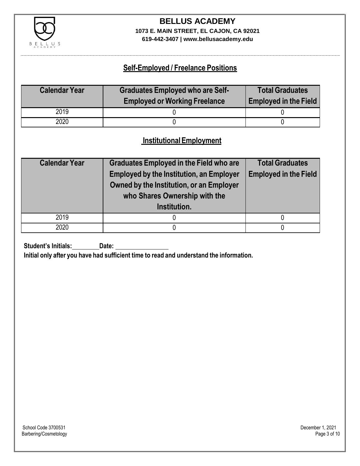

**619-442-3407 | www.bellusacademy.edu**

### **Self-Employed / Freelance Positions**

| <b>Calendar Year</b> | <b>Graduates Employed who are Self-</b><br><b>Employed or Working Freelance</b> | <b>Total Graduates</b><br><b>Employed in the Field</b> |
|----------------------|---------------------------------------------------------------------------------|--------------------------------------------------------|
| 2019                 |                                                                                 |                                                        |
| 2020                 |                                                                                 |                                                        |

### **InstitutionalEmployment**

| <b>Calendar Year</b> | <b>Graduates Employed in the Field who are</b><br><b>Employed by the Institution, an Employer</b><br>Owned by the Institution, or an Employer<br>who Shares Ownership with the<br>Institution. | <b>Total Graduates</b><br><b>Employed in the Field</b> |
|----------------------|------------------------------------------------------------------------------------------------------------------------------------------------------------------------------------------------|--------------------------------------------------------|
| 2019                 |                                                                                                                                                                                                |                                                        |
| 2020                 |                                                                                                                                                                                                |                                                        |

**Student's Initials:** Date:

**Initial only after you have had sufficient time to read and understand the information.**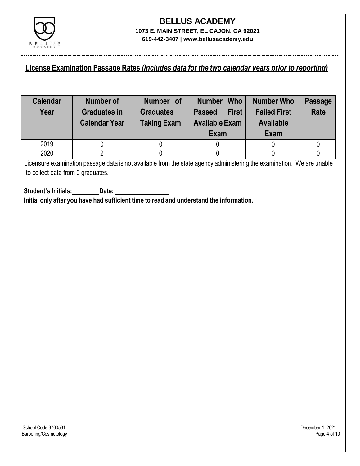

### **License Examination Passage Rates** *(includes data for the two calendar years prior to reporting)*

| <b>Calendar</b><br>Year | <b>Number of</b><br><b>Graduates in</b><br><b>Calendar Year</b> | Number of<br><b>Graduates</b><br><b>Taking Exam</b> | <b>Who</b><br><b>Number</b><br><b>First</b><br><b>Passed</b><br><b>Available Exam</b><br>Exam | <b>Number Who</b><br><b>Failed First</b><br><b>Available</b><br>Exam | <b>Passage</b><br><b>Rate</b> |
|-------------------------|-----------------------------------------------------------------|-----------------------------------------------------|-----------------------------------------------------------------------------------------------|----------------------------------------------------------------------|-------------------------------|
| 2019                    |                                                                 |                                                     |                                                                                               |                                                                      |                               |
| 2020                    |                                                                 |                                                     |                                                                                               |                                                                      |                               |

Licensure examination passage data is not available from the state agency administering the examination. We are unable to collect data from 0 graduates.

**Student's Initials: Date: Initial only after you have had sufficient time to read and understand the information.**

School Code 3700531 December 1, 2021<br>Barbering/Cosmetology Page 4 of 10 Barbering/Cosmetology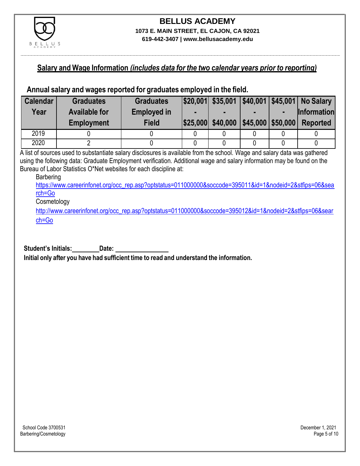

### **Salary and Wage Information** *(includes data for the two calendar years prior to reporting)*

### **Annual salary and wages reported for graduates employed in the field.**

| <b>Calendar</b> | <b>Graduates</b>     | <b>Graduates</b>   |                   |                      | $ $20,001 $ \$35,001   \$40,001   \$45,001   No Salary |
|-----------------|----------------------|--------------------|-------------------|----------------------|--------------------------------------------------------|
| Year            | <b>Available for</b> | <b>Employed in</b> |                   |                      | <b>Information</b>                                     |
|                 | <b>Employment</b>    | <b>Field</b>       | \$25,000 \$40,000 | $ $45,000$ $$50,000$ | <b>Reported</b>                                        |
| 2019            |                      |                    |                   |                      |                                                        |
| 2020            |                      |                    |                   |                      |                                                        |

A list of sources used to substantiate salary disclosures is available from the school. Wage and salary data was gathered using the following data: Graduate Employment verification. Additional wage and salary information may be found on the Bureau of Labor Statistics O\*Net websites for each discipline at:

#### Barbering

[https://www.careerinfonet.org/occ\\_rep.asp?optstatus=011000000&soccode=395011&id=1&nodeid=2&stfips=06&sea](https://www.careerinfonet.org/occ_rep.asp?optstatus=011000000&soccode=395011&id=1&nodeid=2&stfips=06&search=Go) [rch=Go](https://www.careerinfonet.org/occ_rep.asp?optstatus=011000000&soccode=395011&id=1&nodeid=2&stfips=06&search=Go)

#### **Cosmetology**

[http://www.careerinfonet.org/occ\\_rep.asp?optstatus=011000000&soccode=395012&id=1&nodeid=2&stfips=06&sear](http://www.careerinfonet.org/occ_rep.asp?optstatus=011000000&soccode=395012&id=1&nodeid=2&stfips=06&search=Go) [ch=Go](http://www.careerinfonet.org/occ_rep.asp?optstatus=011000000&soccode=395012&id=1&nodeid=2&stfips=06&search=Go)

**Student's Initials: Date:**

**Initial only after you have had sufficient time to read and understand the information.**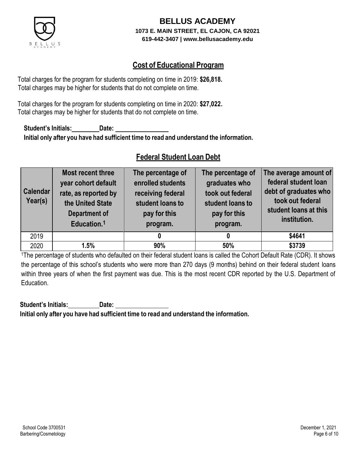

### **Cost of Educational Program**

Total charges for the program for students completing on time in 2019: **\$26,818.** Total charges may be higher for students that do not complete on time.

Total charges for the program for students completing on time in 2020: **\$27,022.** Total charges may be higher for students that do not complete on time.

**Student's Initials: Date: Initial only after you have had sufficient time to read and understand the information.**

### **Federal Student Loan Debt**

| <b>Calendar</b><br>Year(s) | Most recent three<br>year cohort default<br>rate, as reported by<br>the United State<br><b>Department of</b><br>Education. <sup>1</sup> | The percentage of<br>enrolled students<br>receiving federal<br>student loans to<br>pay for this<br>program. | The percentage of<br>graduates who<br>took out federal<br>student loans to<br>pay for this<br>program. | The average amount of<br>federal student loan<br>debt of graduates who<br>took out federal<br>student loans at this<br>institution. |
|----------------------------|-----------------------------------------------------------------------------------------------------------------------------------------|-------------------------------------------------------------------------------------------------------------|--------------------------------------------------------------------------------------------------------|-------------------------------------------------------------------------------------------------------------------------------------|
| 2019                       |                                                                                                                                         |                                                                                                             |                                                                                                        | \$4641                                                                                                                              |
| 2020                       | 1.5%                                                                                                                                    | 90%                                                                                                         | 50%                                                                                                    | \$3739                                                                                                                              |

<sup>1</sup>The percentage of students who defaulted on their federal student loans is called the Cohort Default Rate (CDR). It shows the percentage of this school's students who were more than 270 days (9 months) behind on their federal student loans within three years of when the first payment was due. This is the most recent CDR reported by the U.S. Department of Education.

**Student's Initials: Date: Initial only after you have had sufficient time to read and understand the information.**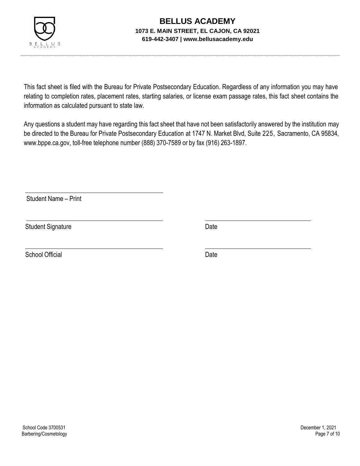

This fact sheet is filed with the Bureau for Private Postsecondary Education. Regardless of any information you may have relating to completion rates, placement rates, starting salaries, or license exam passage rates, this fact sheet contains the information as calculated pursuant to state law.

Any questions a student may have regarding this fact sheet that have not been satisfactorily answered by the institution may be directed to the Bureau for Private Postsecondary Education at 1747 N. Market Blvd, Suite 225, Sacramento, CA 95834, [www.bppe.ca.gov,](http://www.bppe.ca.gov/) toll-free telephone number (888) 370-7589 or by fax (916) 263-1897.

Student Name – Print

Student Signature Date Date

School Official Date Date Date Date Date Date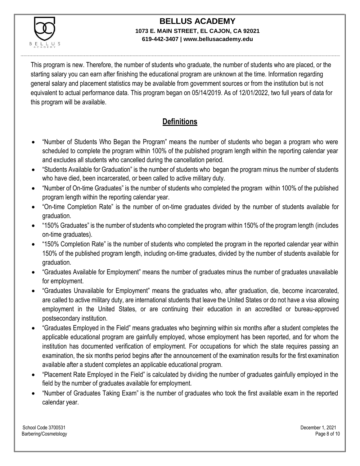

This program is new. Therefore, the number of students who graduate, the number of students who are placed, or the starting salary you can earn after finishing the educational program are unknown at the time. Information regarding general salary and placement statistics may be available from government sources or from the institution but is not equivalent to actual performance data. This program began on 05/14/2019. As of 12/01/2022, two full years of data for this program will be available.

## **Definitions**

- "Number of Students Who Began the Program" means the number of students who began a program who were scheduled to complete the program within 100% of the published program length within the reporting calendar year and excludes all students who cancelled during the cancellation period.
- "Students Available for Graduation" is the number of students who began the program minus the number of students who have died, been incarcerated, or been called to active military duty.
- "Number of On-time Graduates" is the number of students who completed the program within 100% of the published program length within the reporting calendar year.
- "On-time Completion Rate" is the number of on-time graduates divided by the number of students available for graduation.
- "150% Graduates" is the number of students who completed the program within 150% of the program length (includes on-time graduates).
- "150% Completion Rate" is the number of students who completed the program in the reported calendar year within 150% of the published program length, including on-time graduates, divided by the number of students available for graduation.
- "Graduates Available for Employment" means the number of graduates minus the number of graduates unavailable for employment.
- "Graduates Unavailable for Employment" means the graduates who, after graduation, die, become incarcerated, are called to active military duty, are international students that leave the United States or do not have a visa allowing employment in the United States, or are continuing their education in an accredited or bureau-approved postsecondary institution.
- "Graduates Employed in the Field" means graduates who beginning within six months after a student completes the applicable educational program are gainfully employed, whose employment has been reported, and for whom the institution has documented verification of employment. For occupations for which the state requires passing an examination, the six months period begins after the announcement of the examination results for the first examination available after a student completes an applicable educational program.
- "Placement Rate Employed in the Field" is calculated by dividing the number of graduates gainfully employed in the field by the number of graduates available for employment.
- "Number of Graduates Taking Exam" is the number of graduates who took the first available exam in the reported calendar year.

School Code 3700531 December 1, 2021 Barbering/Cosmetology Page 8 of 10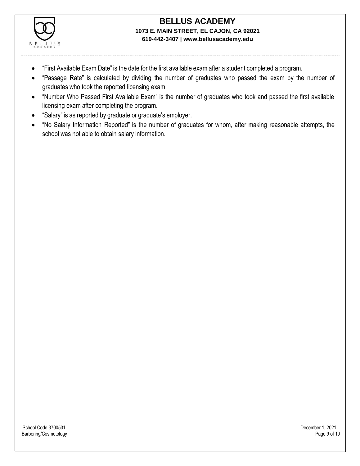

- "First Available Exam Date" is the date for the first available exam after a student completed a program.
- "Passage Rate" is calculated by dividing the number of graduates who passed the exam by the number of graduates who took the reported licensing exam.
- "Number Who Passed First Available Exam" is the number of graduates who took and passed the first available licensing exam after completing the program.
- "Salary" is as reported by graduate or graduate's employer.
- "No Salary Information Reported" is the number of graduates for whom, after making reasonable attempts, the school was not able to obtain salary information.